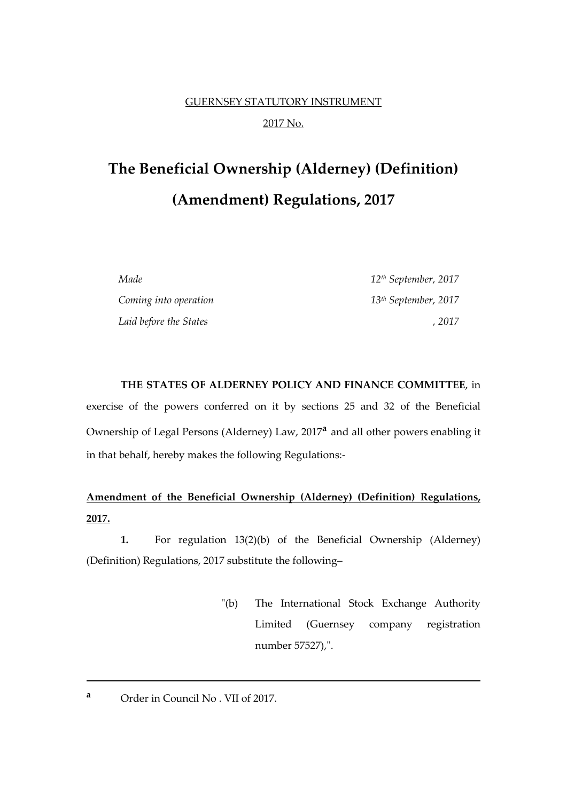## GUERNSEY STATUTORY INSTRUMENT 2017 No.

# **The Beneficial Ownership (Alderney) (Definition) (Amendment) Regulations, 2017**

*Made 12th September, 2017 Coming into operation 13th September, 2017 Laid before the States , 2017*

**THE STATES OF ALDERNEY POLICY AND FINANCE COMMITTEE**, in exercise of the powers conferred on it by sections 25 and 32 of the Beneficial Ownership of Legal Persons (Alderney) Law, 2017**<sup>a</sup>** and all other powers enabling it in that behalf, hereby makes the following Regulations:-

### **Amendment of the Beneficial Ownership (Alderney) (Definition) Regulations, 2017.**

**1.** For regulation 13(2)(b) of the Beneficial Ownership (Alderney) (Definition) Regulations, 2017 substitute the following–

- "(b) The International Stock Exchange Authority Limited (Guernsey company registration number 57527),".
- **<sup>a</sup>** Order in Council No . VII of 2017.

**.**